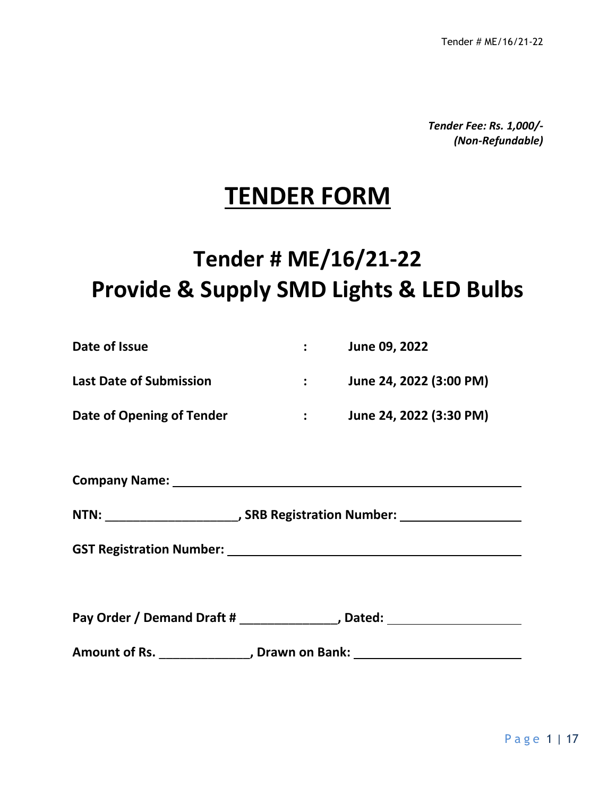*Tender Fee: Rs. 1,000/- (Non-Refundable)*

# **TENDER FORM**

# **Tender # ME/16/21-22 Provide & Supply SMD Lights & LED Bulbs**

| Date of Issue                  |                               | June 09, 2022           |  |
|--------------------------------|-------------------------------|-------------------------|--|
| <b>Last Date of Submission</b> | $\mathbf{1}$ and $\mathbf{1}$ | June 24, 2022 (3:00 PM) |  |
| Date of Opening of Tender      | $\mathbf{1}$ and $\mathbf{1}$ | June 24, 2022 (3:30 PM) |  |
| <b>Company Name:</b>           |                               |                         |  |
|                                | NTN: SRB Registration Number: |                         |  |
|                                |                               |                         |  |
|                                |                               |                         |  |
|                                |                               |                         |  |

**Pay Order / Demand Draft #** \_\_\_\_\_\_\_\_\_\_\_\_\_\_**, Dated:** 

**Amount of Rs.** \_\_\_\_\_\_\_\_\_\_\_\_\_**, Drawn on Bank:**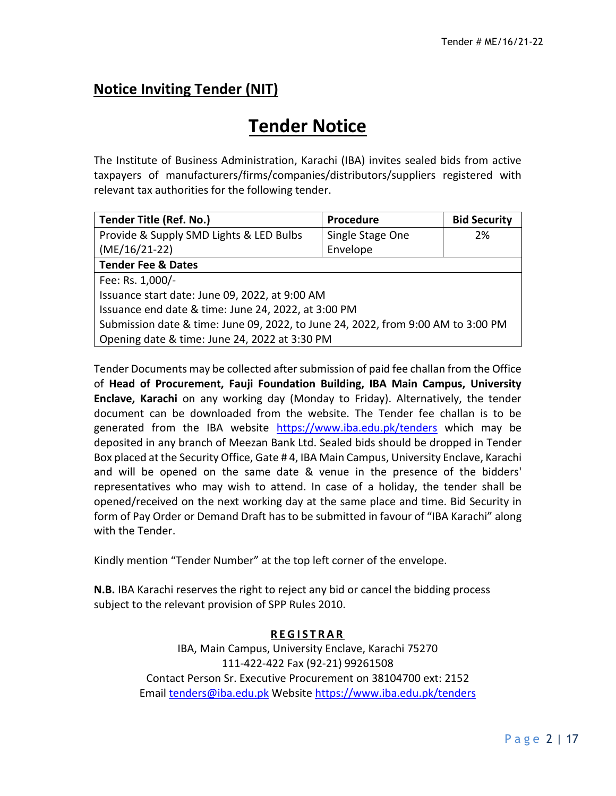# **Notice Inviting Tender (NIT)**

# **Tender Notice**

The Institute of Business Administration, Karachi (IBA) invites sealed bids from active taxpayers of manufacturers/firms/companies/distributors/suppliers registered with relevant tax authorities for the following tender.

| <b>Tender Title (Ref. No.)</b>                                                   | Procedure        | <b>Bid Security</b> |
|----------------------------------------------------------------------------------|------------------|---------------------|
| Provide & Supply SMD Lights & LED Bulbs                                          | Single Stage One | 2%                  |
| $(ME/16/21-22)$                                                                  | Envelope         |                     |
| <b>Tender Fee &amp; Dates</b>                                                    |                  |                     |
| Fee: Rs. 1,000/-                                                                 |                  |                     |
| Issuance start date: June 09, 2022, at 9:00 AM                                   |                  |                     |
| Issuance end date & time: June 24, 2022, at 3:00 PM                              |                  |                     |
| Submission date & time: June 09, 2022, to June 24, 2022, from 9:00 AM to 3:00 PM |                  |                     |
| Opening date & time: June 24, 2022 at 3:30 PM                                    |                  |                     |

Tender Documents may be collected after submission of paid fee challan from the Office of **Head of Procurement, Fauji Foundation Building, IBA Main Campus, University Enclave, Karachi** on any working day (Monday to Friday). Alternatively, the tender document can be downloaded from the website. The Tender fee challan is to be generated from the IBA website <https://www.iba.edu.pk/tenders> which may be deposited in any branch of Meezan Bank Ltd. Sealed bids should be dropped in Tender Box placed at the Security Office, Gate # 4, IBA Main Campus, University Enclave, Karachi and will be opened on the same date & venue in the presence of the bidders' representatives who may wish to attend. In case of a holiday, the tender shall be opened/received on the next working day at the same place and time. Bid Security in form of Pay Order or Demand Draft has to be submitted in favour of "IBA Karachi" along with the Tender.

Kindly mention "Tender Number" at the top left corner of the envelope.

**N.B.** IBA Karachi reserves the right to reject any bid or cancel the bidding process subject to the relevant provision of SPP Rules 2010.

#### **R E G I S T R A R**

IBA, Main Campus, University Enclave, Karachi 75270 111-422-422 Fax (92-21) 99261508 Contact Person Sr. Executive Procurement on 38104700 ext: 2152 Email [tenders@iba.edu.pk](mailto:tenders@iba.edu.pk) Website<https://www.iba.edu.pk/tenders>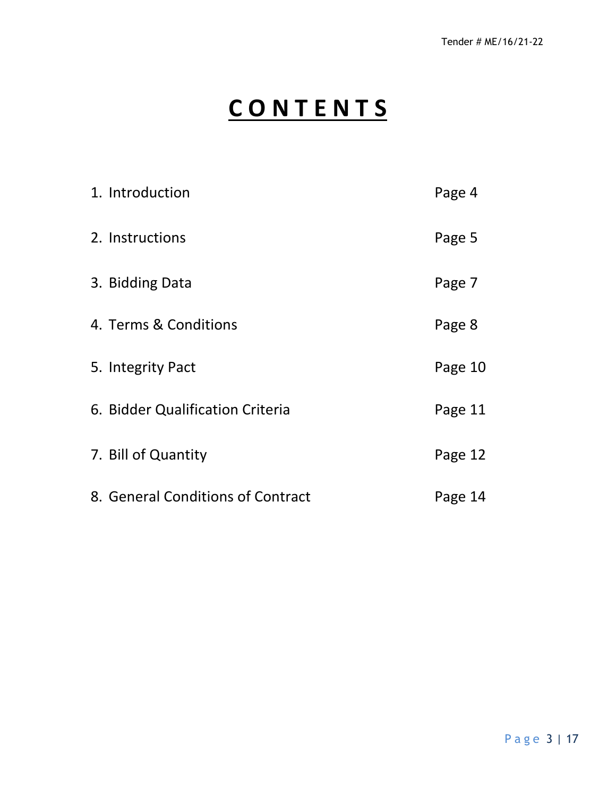# **C O N T E N T S**

| 1. Introduction                   | Page 4  |
|-----------------------------------|---------|
| 2. Instructions                   | Page 5  |
| 3. Bidding Data                   | Page 7  |
| 4. Terms & Conditions             | Page 8  |
| 5. Integrity Pact                 | Page 10 |
| 6. Bidder Qualification Criteria  | Page 11 |
| 7. Bill of Quantity               | Page 12 |
| 8. General Conditions of Contract | Page 14 |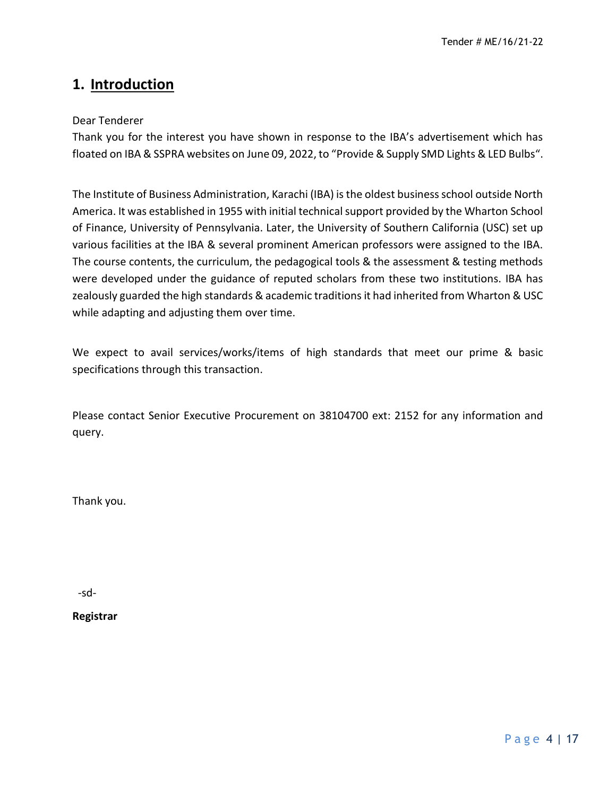# **1. Introduction**

#### Dear Tenderer

Thank you for the interest you have shown in response to the IBA's advertisement which has floated on IBA & SSPRA websites on June 09, 2022, to "Provide & Supply SMD Lights & LED Bulbs".

The Institute of Business Administration, Karachi (IBA) is the oldest business school outside North America. It was established in 1955 with initial technical support provided by the Wharton School of Finance, University of Pennsylvania. Later, the University of Southern California (USC) set up various facilities at the IBA & several prominent American professors were assigned to the IBA. The course contents, the curriculum, the pedagogical tools & the assessment & testing methods were developed under the guidance of reputed scholars from these two institutions. IBA has zealously guarded the high standards & academic traditions it had inherited from Wharton & USC while adapting and adjusting them over time.

We expect to avail services/works/items of high standards that meet our prime & basic specifications through this transaction.

Please contact Senior Executive Procurement on 38104700 ext: 2152 for any information and query.

Thank you.

-sd-

**Registrar**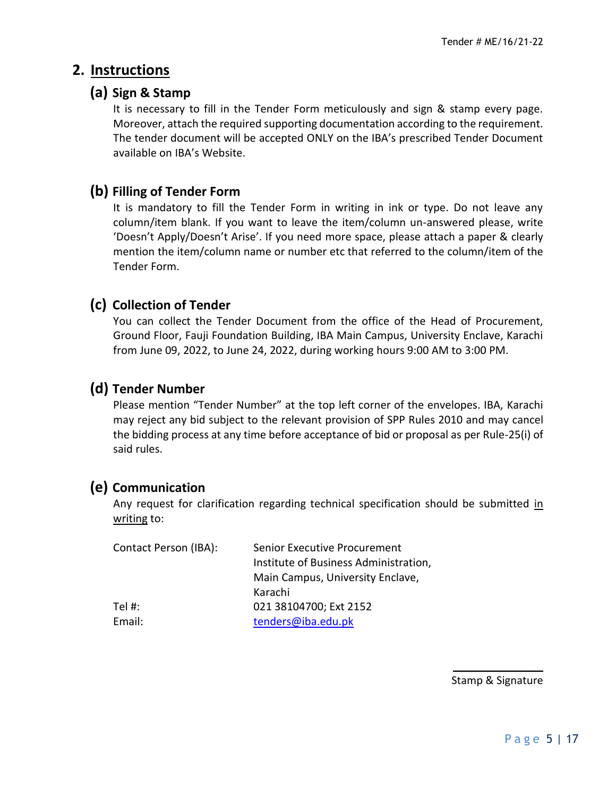# **2. Instructions**

## **(a) Sign & Stamp**

It is necessary to fill in the Tender Form meticulously and sign & stamp every page. Moreover, attach the required supporting documentation according to the requirement. The tender document will be accepted ONLY on the IBA's prescribed Tender Document available on IBA's Website.

# **(b) Filling of Tender Form**

It is mandatory to fill the Tender Form in writing in ink or type. Do not leave any column/item blank. If you want to leave the item/column un-answered please, write 'Doesn't Apply/Doesn't Arise'. If you need more space, please attach a paper & clearly mention the item/column name or number etc that referred to the column/item of the Tender Form.

# **(c) Collection of Tender**

You can collect the Tender Document from the office of the Head of Procurement, Ground Floor, Fauji Foundation Building, IBA Main Campus, University Enclave, Karachi from June 09, 2022, to June 24, 2022, during working hours 9:00 AM to 3:00 PM.

# **(d) Tender Number**

Please mention "Tender Number" at the top left corner of the envelopes. IBA, Karachi may reject any bid subject to the relevant provision of SPP Rules 2010 and may cancel the bidding process at any time before acceptance of bid or proposal as per Rule-25(i) of said rules.

# **(e) Communication**

Any request for clarification regarding technical specification should be submitted in writing to:

| Contact Person (IBA): | Senior Executive Procurement          |
|-----------------------|---------------------------------------|
|                       | Institute of Business Administration, |
|                       | Main Campus, University Enclave,      |
|                       | Karachi                               |
| Tel #:                | 021 38104700; Ext 2152                |
| Email:                | tenders@iba.edu.pk                    |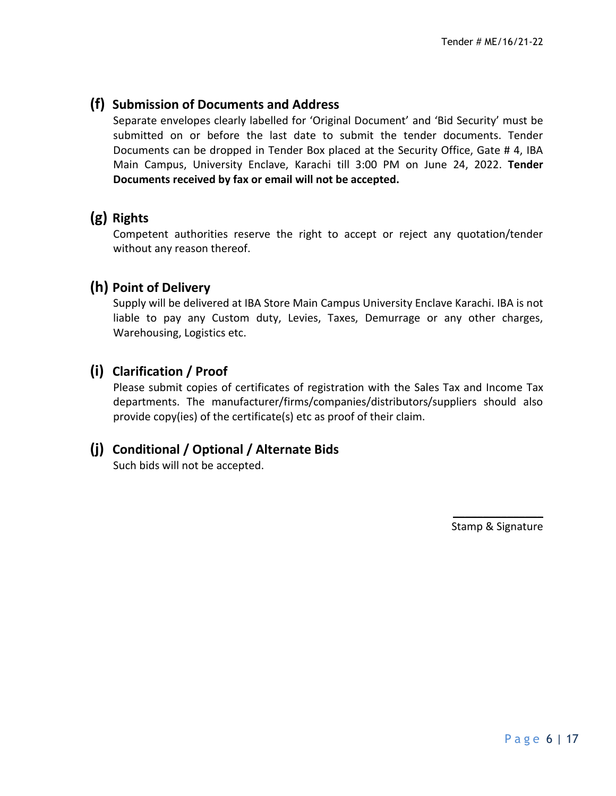#### **(f) Submission of Documents and Address**

Separate envelopes clearly labelled for 'Original Document' and 'Bid Security' must be submitted on or before the last date to submit the tender documents. Tender Documents can be dropped in Tender Box placed at the Security Office, Gate # 4, IBA Main Campus, University Enclave, Karachi till 3:00 PM on June 24, 2022. **Tender Documents received by fax or email will not be accepted.**

## **(g) Rights**

Competent authorities reserve the right to accept or reject any quotation/tender without any reason thereof.

### **(h) Point of Delivery**

Supply will be delivered at IBA Store Main Campus University Enclave Karachi. IBA is not liable to pay any Custom duty, Levies, Taxes, Demurrage or any other charges, Warehousing, Logistics etc.

#### **(i) Clarification / Proof**

Please submit copies of certificates of registration with the Sales Tax and Income Tax departments. The manufacturer/firms/companies/distributors/suppliers should also provide copy(ies) of the certificate(s) etc as proof of their claim.

#### **(j) Conditional / Optional / Alternate Bids**

Such bids will not be accepted.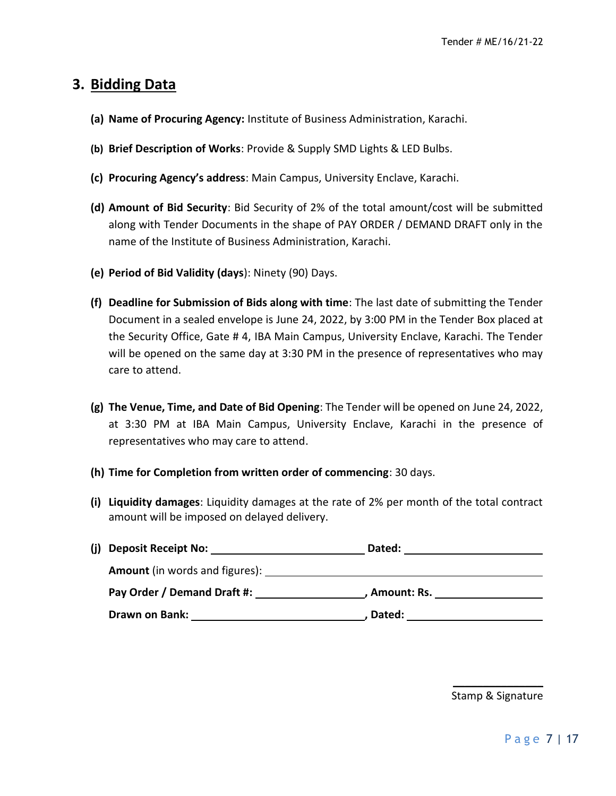# **3. Bidding Data**

- **(a) Name of Procuring Agency:** Institute of Business Administration, Karachi.
- **(b) Brief Description of Works**: Provide & Supply SMD Lights & LED Bulbs.
- **(c) Procuring Agency's address**: Main Campus, University Enclave, Karachi.
- **(d) Amount of Bid Security**: Bid Security of 2% of the total amount/cost will be submitted along with Tender Documents in the shape of PAY ORDER / DEMAND DRAFT only in the name of the Institute of Business Administration, Karachi.
- **(e) Period of Bid Validity (days**): Ninety (90) Days.
- **(f) Deadline for Submission of Bids along with time**: The last date of submitting the Tender Document in a sealed envelope is June 24, 2022, by 3:00 PM in the Tender Box placed at the Security Office, Gate # 4, IBA Main Campus, University Enclave, Karachi. The Tender will be opened on the same day at 3:30 PM in the presence of representatives who may care to attend.
- **(g) The Venue, Time, and Date of Bid Opening**: The Tender will be opened on June 24, 2022, at 3:30 PM at IBA Main Campus, University Enclave, Karachi in the presence of representatives who may care to attend.
- **(h) Time for Completion from written order of commencing**: 30 days.
- **(i) Liquidity damages**: Liquidity damages at the rate of 2% per month of the total contract amount will be imposed on delayed delivery.

| (j) Deposit Receipt No:               | Dated:        |  |
|---------------------------------------|---------------|--|
| <b>Amount</b> (in words and figures): |               |  |
| Pay Order / Demand Draft #:           | , Amount: Rs. |  |
| Drawn on Bank:                        | Dated:        |  |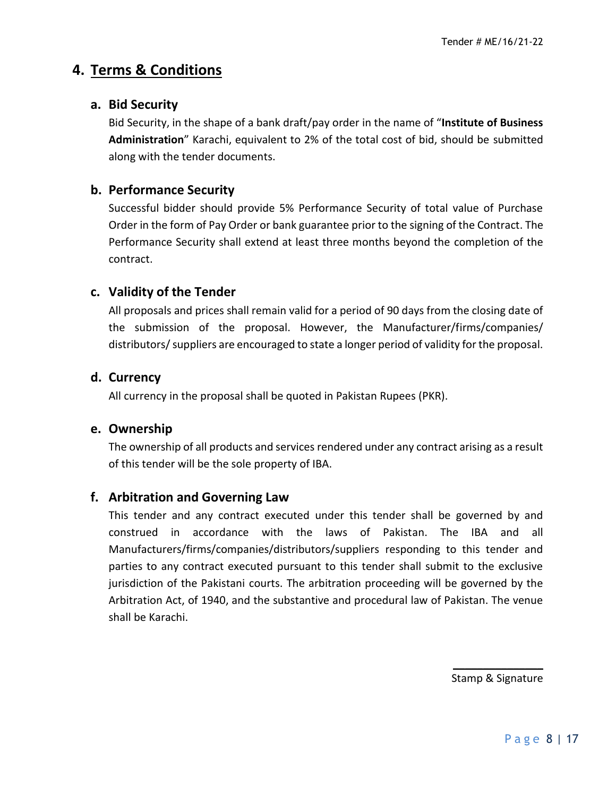# **4. Terms & Conditions**

#### **a. Bid Security**

Bid Security, in the shape of a bank draft/pay order in the name of "**Institute of Business Administration**" Karachi, equivalent to 2% of the total cost of bid, should be submitted along with the tender documents.

#### **b. Performance Security**

Successful bidder should provide 5% Performance Security of total value of Purchase Order in the form of Pay Order or bank guarantee prior to the signing of the Contract. The Performance Security shall extend at least three months beyond the completion of the contract.

#### **c. Validity of the Tender**

All proposals and prices shall remain valid for a period of 90 days from the closing date of the submission of the proposal. However, the Manufacturer/firms/companies/ distributors/suppliers are encouraged to state a longer period of validity for the proposal.

#### **d. Currency**

All currency in the proposal shall be quoted in Pakistan Rupees (PKR).

#### **e. Ownership**

The ownership of all products and services rendered under any contract arising as a result of this tender will be the sole property of IBA.

#### **f. Arbitration and Governing Law**

This tender and any contract executed under this tender shall be governed by and construed in accordance with the laws of Pakistan. The IBA and all Manufacturers/firms/companies/distributors/suppliers responding to this tender and parties to any contract executed pursuant to this tender shall submit to the exclusive jurisdiction of the Pakistani courts. The arbitration proceeding will be governed by the Arbitration Act, of 1940, and the substantive and procedural law of Pakistan. The venue shall be Karachi.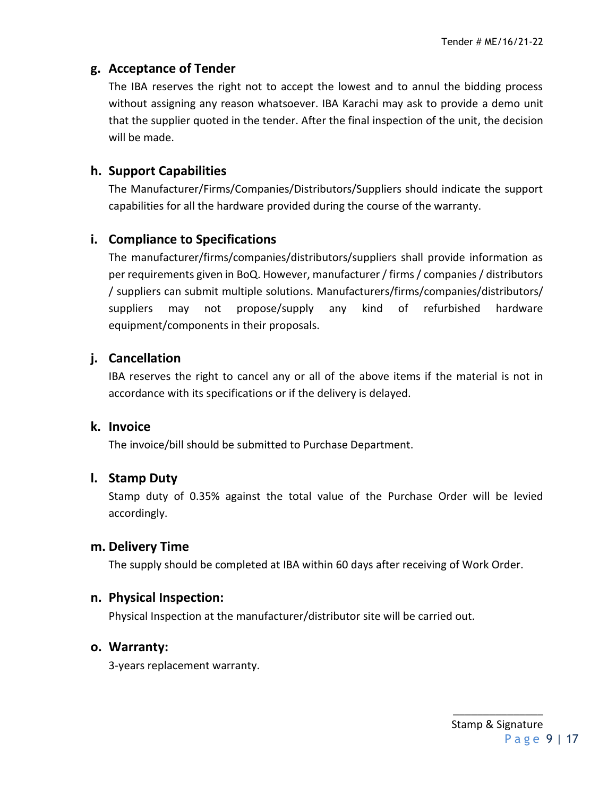## **g. Acceptance of Tender**

The IBA reserves the right not to accept the lowest and to annul the bidding process without assigning any reason whatsoever. IBA Karachi may ask to provide a demo unit that the supplier quoted in the tender. After the final inspection of the unit, the decision will be made.

### **h. Support Capabilities**

The Manufacturer/Firms/Companies/Distributors/Suppliers should indicate the support capabilities for all the hardware provided during the course of the warranty.

## **i. Compliance to Specifications**

The manufacturer/firms/companies/distributors/suppliers shall provide information as per requirements given in BoQ. However, manufacturer / firms / companies / distributors / suppliers can submit multiple solutions. Manufacturers/firms/companies/distributors/ suppliers may not propose/supply any kind of refurbished hardware equipment/components in their proposals.

### **j. Cancellation**

IBA reserves the right to cancel any or all of the above items if the material is not in accordance with its specifications or if the delivery is delayed.

#### **k. Invoice**

The invoice/bill should be submitted to Purchase Department.

#### **l. Stamp Duty**

Stamp duty of 0.35% against the total value of the Purchase Order will be levied accordingly.

#### **m. Delivery Time**

The supply should be completed at IBA within 60 days after receiving of Work Order.

#### **n. Physical Inspection:**

Physical Inspection at the manufacturer/distributor site will be carried out.

#### **o. Warranty:**

3-years replacement warranty.

 $\frac{1}{2}$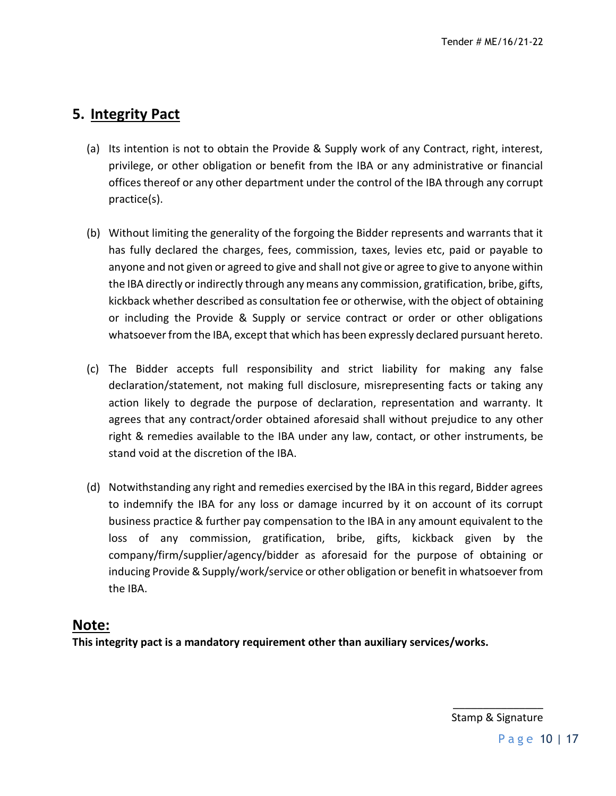# **5. Integrity Pact**

- (a) Its intention is not to obtain the Provide & Supply work of any Contract, right, interest, privilege, or other obligation or benefit from the IBA or any administrative or financial offices thereof or any other department under the control of the IBA through any corrupt practice(s).
- (b) Without limiting the generality of the forgoing the Bidder represents and warrants that it has fully declared the charges, fees, commission, taxes, levies etc, paid or payable to anyone and not given or agreed to give and shall not give or agree to give to anyone within the IBA directly or indirectly through any means any commission, gratification, bribe, gifts, kickback whether described as consultation fee or otherwise, with the object of obtaining or including the Provide & Supply or service contract or order or other obligations whatsoever from the IBA, except that which has been expressly declared pursuant hereto.
- (c) The Bidder accepts full responsibility and strict liability for making any false declaration/statement, not making full disclosure, misrepresenting facts or taking any action likely to degrade the purpose of declaration, representation and warranty. It agrees that any contract/order obtained aforesaid shall without prejudice to any other right & remedies available to the IBA under any law, contact, or other instruments, be stand void at the discretion of the IBA.
- (d) Notwithstanding any right and remedies exercised by the IBA in this regard, Bidder agrees to indemnify the IBA for any loss or damage incurred by it on account of its corrupt business practice & further pay compensation to the IBA in any amount equivalent to the loss of any commission, gratification, bribe, gifts, kickback given by the company/firm/supplier/agency/bidder as aforesaid for the purpose of obtaining or inducing Provide & Supply/work/service or other obligation or benefit in whatsoever from the IBA.

## **Note:**

**This integrity pact is a mandatory requirement other than auxiliary services/works.**

 $\frac{1}{2}$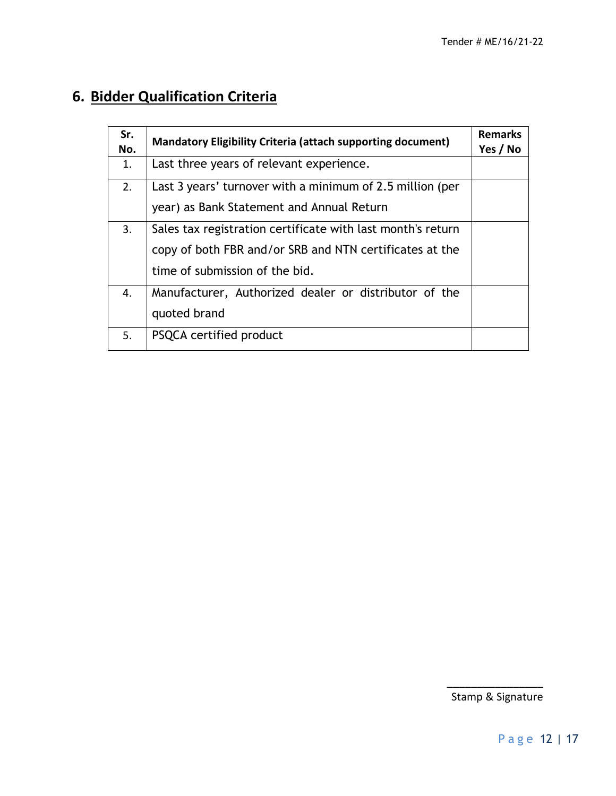# **6. Bidder Qualification Criteria**

| Sr.<br>No. | <b>Mandatory Eligibility Criteria (attach supporting document)</b>                                                                                       | <b>Remarks</b><br>Yes / No |
|------------|----------------------------------------------------------------------------------------------------------------------------------------------------------|----------------------------|
| 1.         | Last three years of relevant experience.                                                                                                                 |                            |
| 2.         | Last 3 years' turnover with a minimum of 2.5 million (per<br>year) as Bank Statement and Annual Return                                                   |                            |
| 3.         | Sales tax registration certificate with last month's return<br>copy of both FBR and/or SRB and NTN certificates at the<br>time of submission of the bid. |                            |
| 4.         | Manufacturer, Authorized dealer or distributor of the<br>quoted brand                                                                                    |                            |
| 5.         | PSQCA certified product                                                                                                                                  |                            |

\_\_\_\_\_\_\_\_\_\_\_\_\_\_\_\_ **Stamp & Signature** Stamp & Signature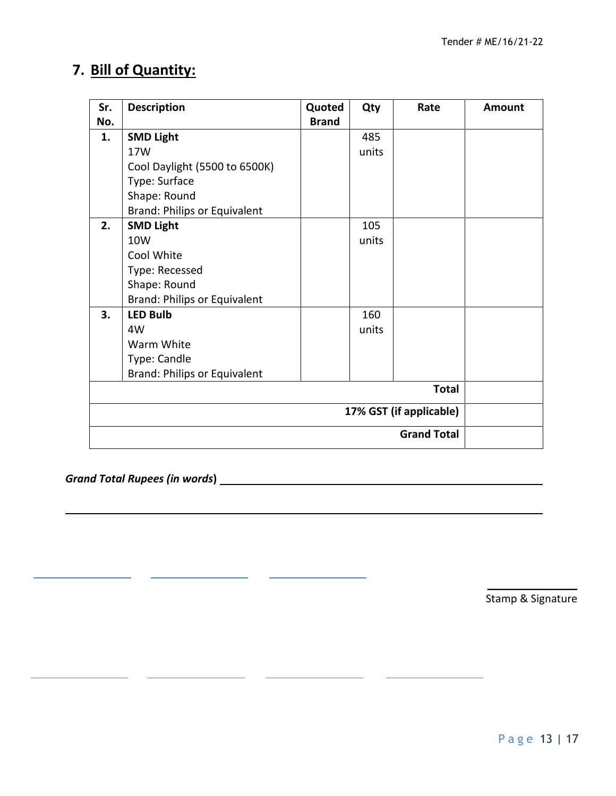# **7. Bill of Quantity:**

| Sr. | <b>Description</b>            | Quoted       | Qty   | Rate                    | <b>Amount</b> |
|-----|-------------------------------|--------------|-------|-------------------------|---------------|
| No. |                               | <b>Brand</b> |       |                         |               |
| 1.  | <b>SMD Light</b>              |              | 485   |                         |               |
|     | 17W                           |              | units |                         |               |
|     | Cool Daylight (5500 to 6500K) |              |       |                         |               |
|     | Type: Surface                 |              |       |                         |               |
|     | Shape: Round                  |              |       |                         |               |
|     | Brand: Philips or Equivalent  |              |       |                         |               |
| 2.  | <b>SMD Light</b>              |              | 105   |                         |               |
|     | 10W                           |              | units |                         |               |
|     | Cool White                    |              |       |                         |               |
|     | Type: Recessed                |              |       |                         |               |
|     | Shape: Round                  |              |       |                         |               |
|     | Brand: Philips or Equivalent  |              |       |                         |               |
| 3.  | <b>LED Bulb</b>               |              | 160   |                         |               |
|     | 4W                            |              | units |                         |               |
|     | Warm White                    |              |       |                         |               |
|     | Type: Candle                  |              |       |                         |               |
|     | Brand: Philips or Equivalent  |              |       |                         |               |
|     |                               |              |       | <b>Total</b>            |               |
|     |                               |              |       | 17% GST (if applicable) |               |
|     |                               |              |       | <b>Grand Total</b>      |               |

*Grand Total Rupees (in words***)**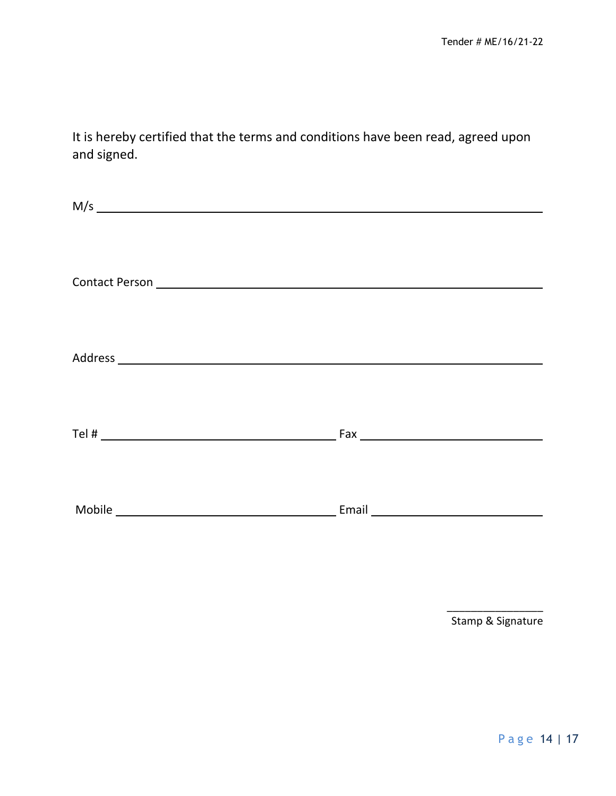It is hereby certified that the terms and conditions have been read, agreed upon and signed.

| M/s |  |
|-----|--|
|     |  |
|     |  |
|     |  |
|     |  |
|     |  |
|     |  |
|     |  |
|     |  |
|     |  |
|     |  |
|     |  |
|     |  |
|     |  |
|     |  |
|     |  |
|     |  |

\_\_\_\_\_\_\_\_\_\_\_\_\_\_\_\_ Stamp & Signature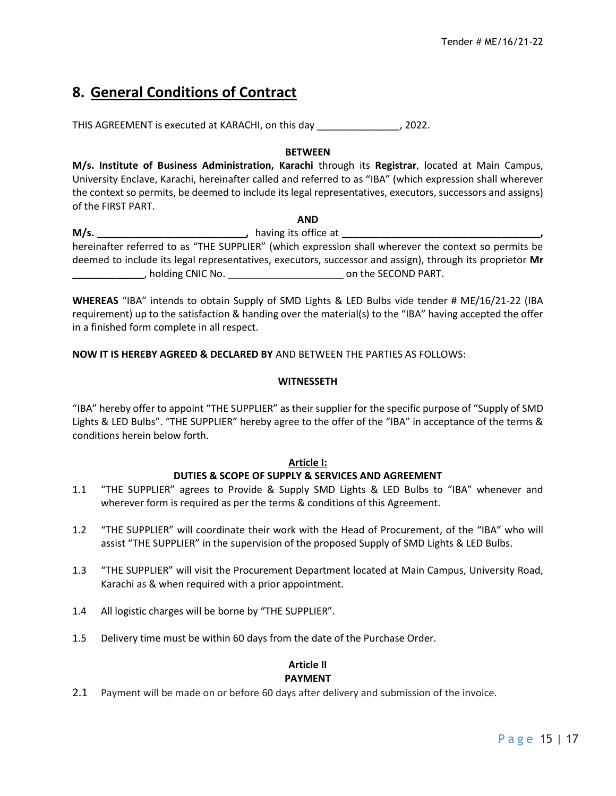# **8. General Conditions of Contract**

THIS AGREEMENT is executed at KARACHI, on this day \_\_\_\_\_\_\_\_\_\_\_\_\_\_\_, 2022.

#### **BETWEEN**

**M/s. Institute of Business Administration, Karachi** through its **Registrar**, located at Main Campus, University Enclave, Karachi, hereinafter called and referred to as "IBA" (which expression shall wherever the context so permits, be deemed to include its legal representatives, executors, successors and assigns) of the FIRST PART.

**AND M/s. \_\_\_\_\_\_\_\_\_\_\_\_\_\_\_\_\_\_\_\_\_\_\_\_\_\_\_,** having its office at **\_\_\_\_\_\_\_\_\_\_\_\_\_\_\_\_\_\_\_\_\_\_\_\_\_\_\_\_\_\_\_\_\_\_\_\_,** hereinafter referred to as "THE SUPPLIER" (which expression shall wherever the context so permits be deemed to include its legal representatives, executors, successor and assign), through its proprietor **Mr \_\_\_\_\_\_\_\_\_\_\_\_\_**, holding CNIC No. \_\_\_\_\_\_\_\_\_\_\_\_\_\_\_\_\_\_\_\_\_ on the SECOND PART.

**WHEREAS** "IBA" intends to obtain Supply of SMD Lights & LED Bulbs vide tender # ME/16/21-22 (IBA requirement) up to the satisfaction & handing over the material(s) to the "IBA" having accepted the offer in a finished form complete in all respect.

#### **NOW IT IS HEREBY AGREED & DECLARED BY** AND BETWEEN THE PARTIES AS FOLLOWS:

#### **WITNESSETH**

"IBA" hereby offer to appoint "THE SUPPLIER" as their supplier for the specific purpose of "Supply of SMD Lights & LED Bulbs". "THE SUPPLIER" hereby agree to the offer of the "IBA" in acceptance of the terms & conditions herein below forth.

#### **Article I:**

#### **DUTIES & SCOPE OF SUPPLY & SERVICES AND AGREEMENT**

- 1.1 "THE SUPPLIER" agrees to Provide & Supply SMD Lights & LED Bulbs to "IBA" whenever and wherever form is required as per the terms & conditions of this Agreement.
- 1.2 "THE SUPPLIER" will coordinate their work with the Head of Procurement, of the "IBA" who will assist "THE SUPPLIER" in the supervision of the proposed Supply of SMD Lights & LED Bulbs.
- 1.3 "THE SUPPLIER" will visit the Procurement Department located at Main Campus, University Road, Karachi as & when required with a prior appointment.
- 1.4 All logistic charges will be borne by "THE SUPPLIER".
- 1.5 Delivery time must be within 60 days from the date of the Purchase Order.

#### **Article II PAYMENT**

2.1 Payment will be made on or before 60 days after delivery and submission of the invoice.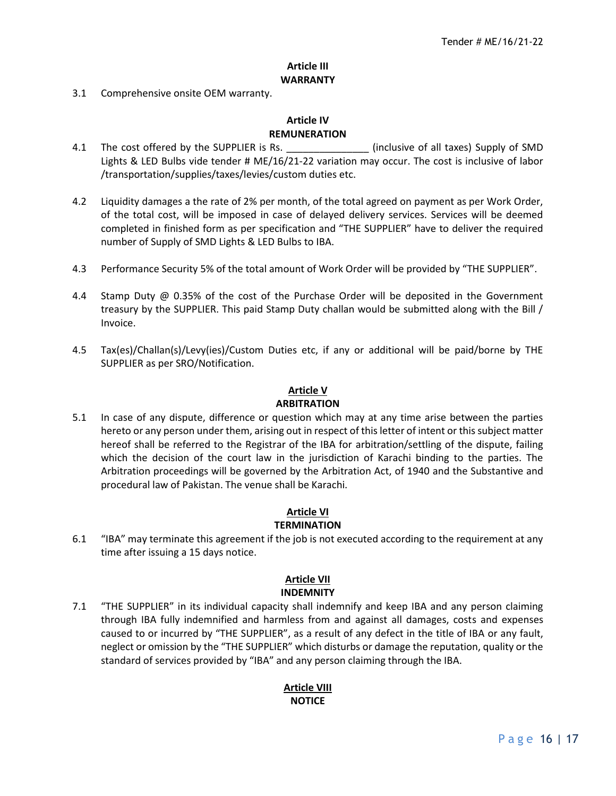#### **Article III WARRANTY**

3.1 Comprehensive onsite OEM warranty.

#### **Article IV REMUNERATION**

- 4.1 The cost offered by the SUPPLIER is Rs.  $\qquad \qquad$  (inclusive of all taxes) Supply of SMD Lights & LED Bulbs vide tender # ME/16/21-22 variation may occur. The cost is inclusive of labor /transportation/supplies/taxes/levies/custom duties etc.
- 4.2 Liquidity damages a the rate of 2% per month, of the total agreed on payment as per Work Order, of the total cost, will be imposed in case of delayed delivery services. Services will be deemed completed in finished form as per specification and "THE SUPPLIER" have to deliver the required number of Supply of SMD Lights & LED Bulbs to IBA.
- 4.3 Performance Security 5% of the total amount of Work Order will be provided by "THE SUPPLIER".
- 4.4 Stamp Duty @ 0.35% of the cost of the Purchase Order will be deposited in the Government treasury by the SUPPLIER. This paid Stamp Duty challan would be submitted along with the Bill / Invoice.
- 4.5 Tax(es)/Challan(s)/Levy(ies)/Custom Duties etc, if any or additional will be paid/borne by THE SUPPLIER as per SRO/Notification.

#### **Article V**

#### **ARBITRATION**

5.1 In case of any dispute, difference or question which may at any time arise between the parties hereto or any person under them, arising out in respect of this letter of intent or this subject matter hereof shall be referred to the Registrar of the IBA for arbitration/settling of the dispute, failing which the decision of the court law in the jurisdiction of Karachi binding to the parties. The Arbitration proceedings will be governed by the Arbitration Act, of 1940 and the Substantive and procedural law of Pakistan. The venue shall be Karachi.

#### **Article VI TERMINATION**

6.1 "IBA" may terminate this agreement if the job is not executed according to the requirement at any time after issuing a 15 days notice.

#### **Article VII INDEMNITY**

7.1 "THE SUPPLIER" in its individual capacity shall indemnify and keep IBA and any person claiming through IBA fully indemnified and harmless from and against all damages, costs and expenses caused to or incurred by "THE SUPPLIER", as a result of any defect in the title of IBA or any fault, neglect or omission by the "THE SUPPLIER" which disturbs or damage the reputation, quality or the standard of services provided by "IBA" and any person claiming through the IBA.

#### **Article VIII NOTICE**